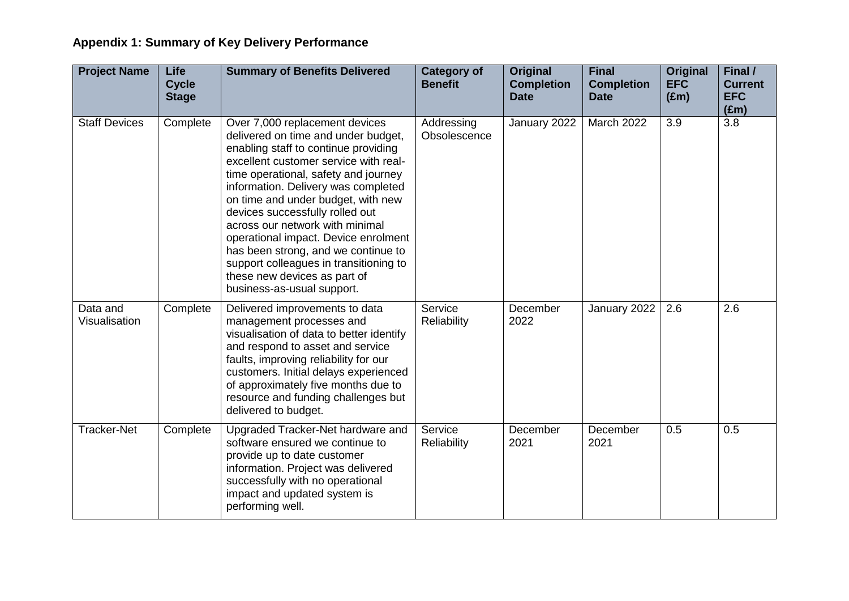| <b>Project Name</b>       | Life<br><b>Cycle</b><br><b>Stage</b> | <b>Summary of Benefits Delivered</b>                                                                                                                                                                                                                                                                                                                                                                                                                                                                                                     | <b>Category of</b><br><b>Benefit</b> | Original<br><b>Completion</b><br><b>Date</b> | <b>Final</b><br><b>Completion</b><br><b>Date</b> | Original<br><b>EFC</b><br>$(\text{Em})$ | Final /<br><b>Current</b><br><b>EFC</b><br>$(\text{Em})$ |
|---------------------------|--------------------------------------|------------------------------------------------------------------------------------------------------------------------------------------------------------------------------------------------------------------------------------------------------------------------------------------------------------------------------------------------------------------------------------------------------------------------------------------------------------------------------------------------------------------------------------------|--------------------------------------|----------------------------------------------|--------------------------------------------------|-----------------------------------------|----------------------------------------------------------|
| <b>Staff Devices</b>      | Complete                             | Over 7,000 replacement devices<br>delivered on time and under budget,<br>enabling staff to continue providing<br>excellent customer service with real-<br>time operational, safety and journey<br>information. Delivery was completed<br>on time and under budget, with new<br>devices successfully rolled out<br>across our network with minimal<br>operational impact. Device enrolment<br>has been strong, and we continue to<br>support colleagues in transitioning to<br>these new devices as part of<br>business-as-usual support. | Addressing<br>Obsolescence           | January 2022                                 | March 2022                                       | 3.9                                     | 3.8                                                      |
| Data and<br>Visualisation | Complete                             | Delivered improvements to data<br>management processes and<br>visualisation of data to better identify<br>and respond to asset and service<br>faults, improving reliability for our<br>customers. Initial delays experienced<br>of approximately five months due to<br>resource and funding challenges but<br>delivered to budget.                                                                                                                                                                                                       | Service<br>Reliability               | December<br>2022                             | January 2022                                     | 2.6                                     | 2.6                                                      |
| <b>Tracker-Net</b>        | Complete                             | Upgraded Tracker-Net hardware and<br>software ensured we continue to<br>provide up to date customer<br>information. Project was delivered<br>successfully with no operational<br>impact and updated system is<br>performing well.                                                                                                                                                                                                                                                                                                        | Service<br><b>Reliability</b>        | December<br>2021                             | December<br>2021                                 | 0.5                                     | 0.5                                                      |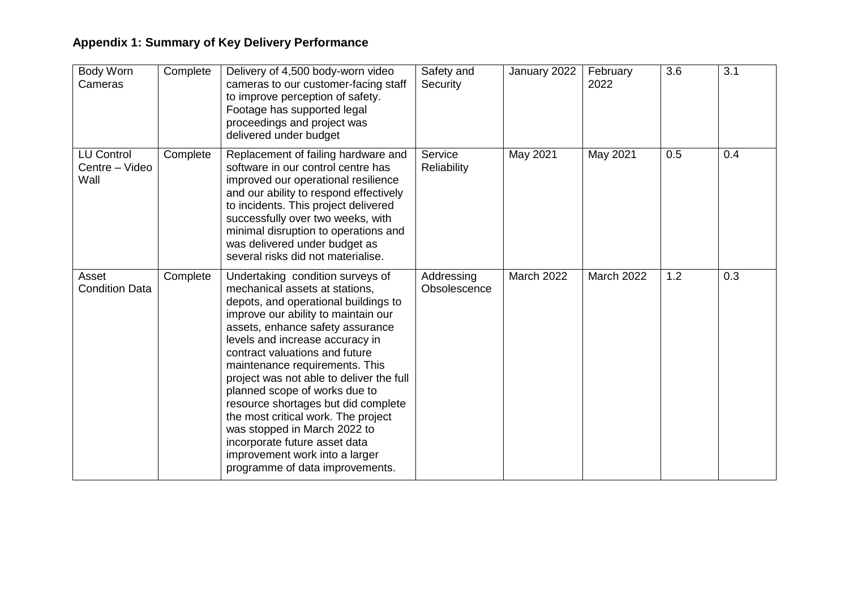| Body Worn<br>Cameras                        | Complete | Delivery of 4,500 body-worn video<br>cameras to our customer-facing staff<br>to improve perception of safety.<br>Footage has supported legal<br>proceedings and project was<br>delivered under budget                                                                                                                                                                                                                                                                                                                                                                                         | Safety and<br>Security        | January 2022 | February<br>2022 | 3.6 | 3.1 |
|---------------------------------------------|----------|-----------------------------------------------------------------------------------------------------------------------------------------------------------------------------------------------------------------------------------------------------------------------------------------------------------------------------------------------------------------------------------------------------------------------------------------------------------------------------------------------------------------------------------------------------------------------------------------------|-------------------------------|--------------|------------------|-----|-----|
| <b>LU Control</b><br>Centre – Video<br>Wall | Complete | Replacement of failing hardware and<br>software in our control centre has<br>improved our operational resilience<br>and our ability to respond effectively<br>to incidents. This project delivered<br>successfully over two weeks, with<br>minimal disruption to operations and<br>was delivered under budget as<br>several risks did not materialise.                                                                                                                                                                                                                                        | Service<br><b>Reliability</b> | May 2021     | May 2021         | 0.5 | 0.4 |
| Asset<br><b>Condition Data</b>              | Complete | Undertaking condition surveys of<br>mechanical assets at stations,<br>depots, and operational buildings to<br>improve our ability to maintain our<br>assets, enhance safety assurance<br>levels and increase accuracy in<br>contract valuations and future<br>maintenance requirements. This<br>project was not able to deliver the full<br>planned scope of works due to<br>resource shortages but did complete<br>the most critical work. The project<br>was stopped in March 2022 to<br>incorporate future asset data<br>improvement work into a larger<br>programme of data improvements. | Addressing<br>Obsolescence    | March 2022   | March 2022       | 1.2 | 0.3 |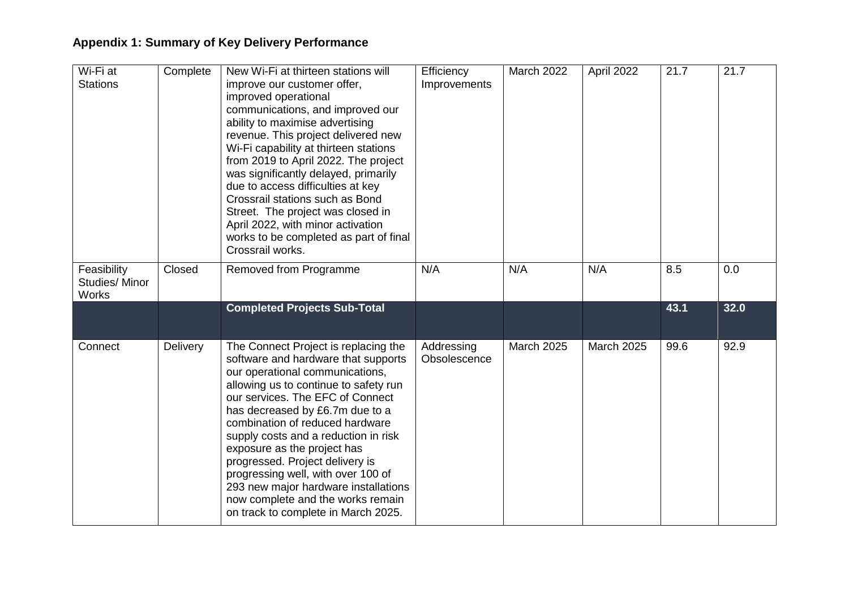| Wi-Fi at<br><b>Stations</b>           | Complete | New Wi-Fi at thirteen stations will<br>improve our customer offer,<br>improved operational<br>communications, and improved our<br>ability to maximise advertising<br>revenue. This project delivered new<br>Wi-Fi capability at thirteen stations<br>from 2019 to April 2022. The project<br>was significantly delayed, primarily<br>due to access difficulties at key<br>Crossrail stations such as Bond<br>Street. The project was closed in<br>April 2022, with minor activation<br>works to be completed as part of final<br>Crossrail works. | Efficiency<br>Improvements | <b>March 2022</b> | April 2022        | 21.7 | 21.7 |
|---------------------------------------|----------|---------------------------------------------------------------------------------------------------------------------------------------------------------------------------------------------------------------------------------------------------------------------------------------------------------------------------------------------------------------------------------------------------------------------------------------------------------------------------------------------------------------------------------------------------|----------------------------|-------------------|-------------------|------|------|
| Feasibility<br>Studies/Minor<br>Works | Closed   | Removed from Programme                                                                                                                                                                                                                                                                                                                                                                                                                                                                                                                            | N/A                        | N/A               | N/A               | 8.5  | 0.0  |
|                                       |          | <b>Completed Projects Sub-Total</b>                                                                                                                                                                                                                                                                                                                                                                                                                                                                                                               |                            |                   |                   | 43.1 | 32.0 |
| Connect                               | Delivery | The Connect Project is replacing the<br>software and hardware that supports<br>our operational communications,<br>allowing us to continue to safety run<br>our services. The EFC of Connect<br>has decreased by £6.7m due to a<br>combination of reduced hardware<br>supply costs and a reduction in risk<br>exposure as the project has<br>progressed. Project delivery is<br>progressing well, with over 100 of<br>293 new major hardware installations<br>now complete and the works remain<br>on track to complete in March 2025.             | Addressing<br>Obsolescence | March 2025        | <b>March 2025</b> | 99.6 | 92.9 |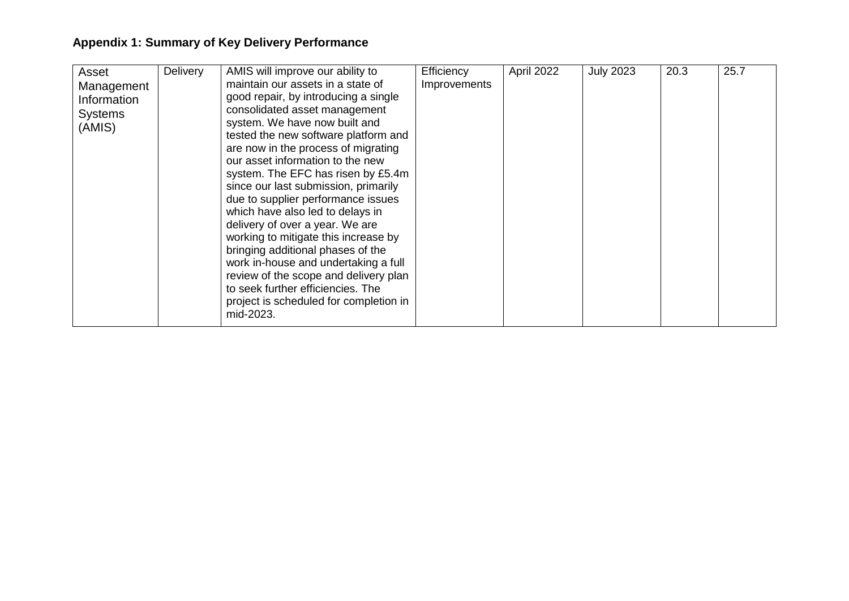| Asset<br>Management<br>Information<br><b>Systems</b><br>(AMIS) | <b>Delivery</b> | AMIS will improve our ability to<br>maintain our assets in a state of<br>good repair, by introducing a single<br>consolidated asset management<br>system. We have now built and<br>tested the new software platform and<br>are now in the process of migrating<br>our asset information to the new<br>system. The EFC has risen by £5.4m<br>since our last submission, primarily<br>due to supplier performance issues<br>which have also led to delays in<br>delivery of over a year. We are<br>working to mitigate this increase by<br>bringing additional phases of the<br>work in-house and undertaking a full<br>review of the scope and delivery plan<br>to seek further efficiencies. The<br>project is scheduled for completion in<br>mid-2023. | Efficiency<br>Improvements | April 2022 | <b>July 2023</b> | 20.3 | 25.7 |
|----------------------------------------------------------------|-----------------|---------------------------------------------------------------------------------------------------------------------------------------------------------------------------------------------------------------------------------------------------------------------------------------------------------------------------------------------------------------------------------------------------------------------------------------------------------------------------------------------------------------------------------------------------------------------------------------------------------------------------------------------------------------------------------------------------------------------------------------------------------|----------------------------|------------|------------------|------|------|
|----------------------------------------------------------------|-----------------|---------------------------------------------------------------------------------------------------------------------------------------------------------------------------------------------------------------------------------------------------------------------------------------------------------------------------------------------------------------------------------------------------------------------------------------------------------------------------------------------------------------------------------------------------------------------------------------------------------------------------------------------------------------------------------------------------------------------------------------------------------|----------------------------|------------|------------------|------|------|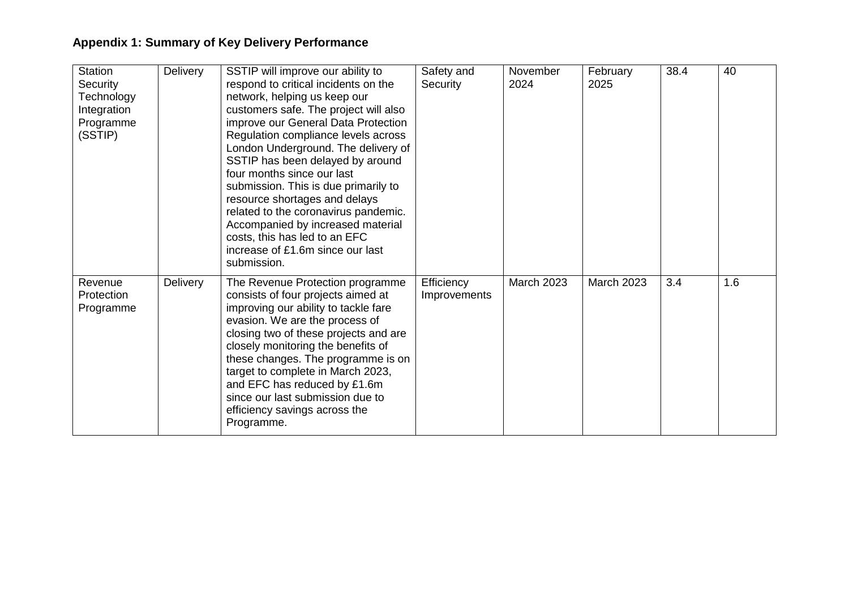| <b>Station</b><br>Security<br>Technology<br>Integration<br>Programme<br>(SSTIP) | <b>Delivery</b> | SSTIP will improve our ability to<br>respond to critical incidents on the<br>network, helping us keep our<br>customers safe. The project will also<br>improve our General Data Protection<br>Regulation compliance levels across<br>London Underground. The delivery of<br>SSTIP has been delayed by around<br>four months since our last<br>submission. This is due primarily to<br>resource shortages and delays<br>related to the coronavirus pandemic.<br>Accompanied by increased material<br>costs, this has led to an EFC<br>increase of £1.6m since our last<br>submission. | Safety and<br>Security     | November<br>2024  | February<br>2025  | 38.4 | 40  |
|---------------------------------------------------------------------------------|-----------------|-------------------------------------------------------------------------------------------------------------------------------------------------------------------------------------------------------------------------------------------------------------------------------------------------------------------------------------------------------------------------------------------------------------------------------------------------------------------------------------------------------------------------------------------------------------------------------------|----------------------------|-------------------|-------------------|------|-----|
| Revenue<br>Protection<br>Programme                                              | <b>Delivery</b> | The Revenue Protection programme<br>consists of four projects aimed at<br>improving our ability to tackle fare<br>evasion. We are the process of<br>closing two of these projects and are<br>closely monitoring the benefits of<br>these changes. The programme is on<br>target to complete in March 2023,<br>and EFC has reduced by £1.6m<br>since our last submission due to<br>efficiency savings across the<br>Programme.                                                                                                                                                       | Efficiency<br>Improvements | <b>March 2023</b> | <b>March 2023</b> | 3.4  | 1.6 |